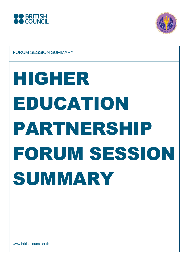



FORUM SESSION SUMMARY

# HIGHER EDUCATION PARTNERSHIP FORUM SESSION SUMMARY

www.britishcouncil.or.th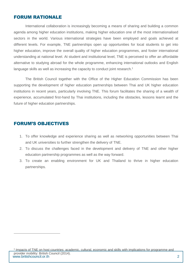# FORUM RATIONALE

International collaboration is increasingly becoming a means of sharing and building a common agenda among higher education institutions, making higher education one of the most internationalised sectors in the world. Various international strategies have been employed and goals achieved at different levels. For example, TNE partnerships open up opportunities for local students to get into higher education, improve the overall quality of higher education programmes, and foster international understanding at national level. At student and institutional level, TNE is perceived to offer an affordable alternative to studying abroad for the whole programme, enhancing international outlooks and English language skills as well as increasing the capacity to conduct joint research.<sup>1</sup>

The British Council together with the Office of the Higher Education Commission has been supporting the development of higher education partnerships between Thai and UK higher education institutions in recent years, particularly involving TNE. This forum facilitates the sharing of a wealth of experience, accumulated first-hand by Thai institutions, including the obstacles, lessons learnt and the future of higher education partnerships.

# FORUM'S OBJECTIVES

 $\overline{a}$ 

- 1. To offer knowledge and experience sharing as well as networking opportunities between Thai and UK universities to further strengthen the delivery of TNE.
- 2. To discuss the challenges faced in the development and delivery of TNE and other higher education partnership programmes as well as the way forward.
- 3. To create an enabling environment for UK and Thailand to thrive in higher education partnerships.

www.britishcouncil.or.th 2 <sup>1</sup> Impacts of TNE on host countries: academic, cultural, economic and skills with implications for programme and provider mobility: British Council (2014).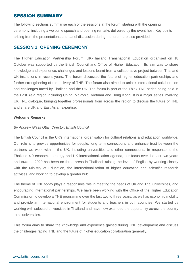# SESSION SUMMARY

The following sections summarise each of the sessions at the forum, starting with the opening ceremony, including a welcome speech and opening remarks delivered by the event host. Key points arising from the presentations and panel discussion during the forum are also provided.

# **SESSION 1: OPENING CEREMONY**

The Higher Education Partnership Forum: UK-Thailand Transnational Education organised on 18 October was supported by the British Council and Office of Higher Education. Its aim was to share knowledge and experience, challenges and lessons learnt from a collaborative project between Thai and UK institutions in recent years. The forum discussed the future of higher education partnerships and further strengthening of the delivery of TNE. The forum also aimed to unlock international collaboration and challenges faced by Thailand and the UK. The forum is part of the Think TNE series being held in the East Asia region including China, Malaysia, Vietnam and Hong Kong. It is a major series involving UK TNE dialogue, bringing together professionals from across the region to discuss the future of TNE and share UK and East Asian expertise.

### **Welcome Remarks**

### *By Andrew Glass OBE, Director, British Council*

The British Council is the UK's international organisation for cultural relations and education worldwide. Our role is to provide opportunities for people, long-term connections and enhance trust between the partners we work with in the UK, including universities and other connections. In response to the Thailand 4.0 economic strategy and UK internationalisation agenda, our focus over the last two years and towards 2020 has been on three areas in Thailand: raising the level of English by working closely with the Ministry of Education, the internationalisation of higher education and scientific research activities, and working to develop a greater hub.

The theme of TNE today plays a responsible role in meeting the needs of UK and Thai universities, and encouraging international partnerships. We have been working with the Office of the Higher Education Commission to develop a TNE programme over the last two to three years, as well as economic mobility and provide an international environment for students and teachers in both countries. We started by working with selected universities in Thailand and have now extended the opportunity across the country to all universities.

This forum aims to share the knowledge and experience gained during TNE development and discuss the challenges facing TNE and the future of higher education collaboration generally.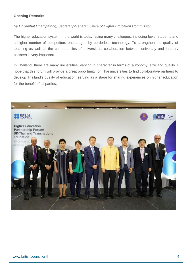### **Opening Remarks**

### *By Dr Suphat Champatong, Secretary-General, Office of Higher Education Commission*

The higher education system in the world is today facing many challenges, including fewer students and a higher number of competitors encouraged by borderless technology. To strengthen the quality of teaching as well as the competencies of universities, collaboration between university and industry partners is very important.

In Thailand, there are many universities, varying in character in terms of autonomy, size and quality. I hope that this forum will provide a great opportunity for Thai universities to find collaborative partners to develop Thailand's quality of education, serving as a stage for sharing experiences on higher education for the benefit of all parties.

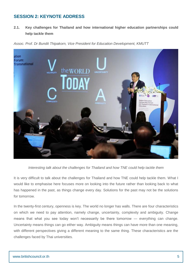# **SESSION 2: KEYNOTE ADDRESS**

**2.1. Key challenges for Thailand and how international higher education partnerships could help tackle them** 



*Assoc. Prof. Dr Bundit Thipakorn, Vice President for Education Development, KMUTT*

*Interesting talk about the challenges for Thailand and how TNE could help tackle them* 

It is very difficult to talk about the challenges for Thailand and how TNE could help tackle them. What I would like to emphasise here focuses more on looking into the future rather than looking back to what has happened in the past, as things change every day. Solutions for the past may not be the solutions for tomorrow.

In the twenty-first century, openness is key. The world no longer has walls. There are four characteristics on which we need to pay attention, namely change, uncertainty, complexity and ambiguity. Change means that what you see today won't necessarily be there tomorrow — everything can change. Uncertainty means things can go either way. Ambiguity means things can have more than one meaning, with different perspectives giving a different meaning to the same thing. These characteristics are the challenges faced by Thai universities.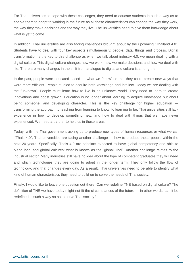For Thai universities to cope with these challenges, they need to educate students in such a way as to enable them to adapt to working in the future as all these characteristics can change the way they work, the way they make decisions and the way they live. The universities need to give them knowledge about what is yet to come.

In addition, Thai universities are also facing challenges brought about by the upcoming "Thailand 4.0". Students have to deal with four key aspects simultaneously: people, data, things and process. Digital transformation is the key to this challenge as when we talk about industry 4.0, we mean dealing with a digital culture. This digital culture changes how we work, how we make decisions and how we deal with life. There are many changes in the shift from analogue to digital and culture is among them.

In the past, people were educated based on what we "knew" so that they could create new ways that were more efficient. People studied to acquire both knowledge and intellect. Today we are dealing with the "unknown". People must learn how to live in an unknown world. They need to learn to create innovations and boost growth. Education is no longer about learning to acquire knowledge but about being someone, and developing character. This is the key challenge for higher education transforming the approach to teaching from learning to know, to learning to be. Thai universities still lack experience in how to develop something new, and how to deal with things that we have never experienced. We need a partner to help us in these areas.

Today, with the Thai government asking us to produce new types of human resources or what we call '"Thais 4.0", Thai universities are facing another challenge — how to produce these people within the next 20 years. Specifically, Thais 4.0 are scholars expected to have global competency and able to blend local and global cultures; what is known as the "global Thai". Another challenge relates to the industrial sector. Many industries still have no idea about the type of competent graduates they will need and which technologies they are going to adopt in the longer term. They only follow the flow of technology, and that changes every day. As a result, Thai universities need to be able to identify what kind of human characteristics they need to build on to serve the needs of Thai society.

Finally, I would like to leave one question out there. Can we redefine TNE based on digital culture? The definition of TNE we have today might not fit the circumstances of the future — in other words, can it be redefined in such a way so as to serve Thai society?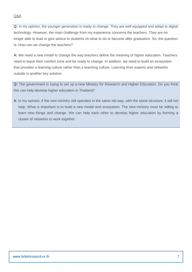**Q:** In my opinion, the younger generation is ready to change. They are well equipped and adapt to digital technology. However, the main challenge from my experience concerns the teachers. They are no longer able to lead or give advice to students on what to do or become after graduation. So, the question is: How can we change the teachers?

**A:** We need a new model to change the way teachers define the meaning of higher education. Teachers need to leave their comfort zone and be ready to change. In addition, we need to build an ecosystem that provides a learning culture rather than a teaching culture. Learning from experts and networks outside is another key solution.

**Q:** The government is trying to set up a new Ministry for Research and Higher Education. Do you think this can help develop higher education in Thailand?

**A**: In my opinion, if the new ministry still operates in the same old way, with the same structure, it will not help. What is important is to build a new model and ecosystem. The new ministry must be willing to learn new things and change. We can help each other to develop higher education by forming a cluster of networks to work together.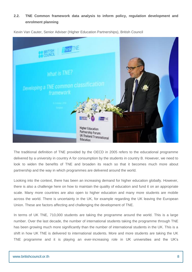# **2.2. TNE Common framework data analysis to inform policy, regulation development and enrolment planning**



Kevin Van Cauter, Senior Adviser (Higher Education Partnerships), British Council

The traditional definition of TNE provided by the OECD in 2005 refers to the educational programme delivered by a university in country A for consumption by the students in country B. However, we need to look to widen the benefits of TNE and broaden its reach so that it becomes much more about partnership and the way in which programmes are delivered around the world.

Looking into the context, there has been an increasing demand for higher education globally. However, there is also a challenge here on how to maintain the quality of education and fund it on an appropriate scale. Many more countries are also open to higher education and many more students are mobile across the world. There is uncertainty in the UK, for example regarding the UK leaving the European Union. These are factors affecting and challenging the development of TNE.

In terms of UK TNE, 710,000 students are taking the programme around the world. This is a large number. Over the last decade, the number of international students taking the programme through TNE has been growing much more significantly than the number of international students in the UK. This is a shift in how UK TNE is delivered to international students. More and more students are taking the UK TNE programme and it is playing an ever-increasing role in UK universities and the UK's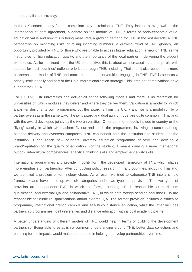internationalisation strategy.

In the UK context, many factors come into play in relation to TNE. They include slow growth in the international student agreement, a debate on the module of TNE in terms of socio-economic value, education value and how this is being measured, a growing demand for TNE in the last decade, a TNE perspective on mitigating risks of falling incoming numbers, a growing trend of TNE globally, an opportunity provided by TNE for those who are unable to access higher education, a view on TNE as the first choice for high education quality, and the importance of the local partner in delivering the student experience. As for the trend from the UK perspective, this is about an increased partnership role with support for host countries' national priorities through TNE, including Thailand. It also concerns a more partnership-led model of TNE and more research-led universities engaging in TNE. TNE is seen as a priority institutionally and part of the UK's internationalisation strategy. This large set of motivations drive support for UK TNE.

For UK TNE, UK universities can deliver all of the following models and there is no restriction for universities on which modules they deliver and where they deliver them. Validation is a model for which a partner designs its own programme, but the award is from the UK. Franchise is a model run by a partner overseas in the same way. The joint award and dual award model are quite common in Thailand, with the award developed jointly by the two universities. Other common models include in-country or the "flying" faculty in which UK teachers fly out and teach the programme, involving distance learning, blended delivery and overseas campuses. TNE can benefit both the institution and student. For the institution, it can reach new students, diversify education programme delivery and develop a brand/reputation for the quality of education. For the student, it means gaining a more international outlook, intercultural competencies, analytical thinking skills and employment ability skills.

International programmes and provider mobility form the developed framework of TNE which places more emphasis on partnership. After conducting policy research in many countries, including Thailand, we identified a problem of terminology chaos. As a result, we tried to categorise TNE into a simple framework and have come up with six categories under two types of provision. The two types of provision are independent TNE, in which the foreign sending HEI is responsible for curriculum qualification; and external QA and collaborative TNE, in which both foreign sending and host HEIs are responsible for curricula, qualifications and/or external QA. The former provision includes a franchise programme, international branch campus and self-study distance education, while the latter includes partnership programmes, joint universities and distance education with a local academic partner.

A better understanding of different models of TNE would help in terms of building the development partnership. Being able to establish a common understanding around TNE, better data collection, and planning for the impacts would make a difference in helping to develop partnerships over time.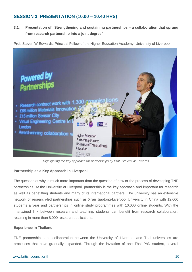# **SESSION 3: PRESENTATION (10.00 – 10.40 HRS)**

**3.1. Presentation of "Strengthening and sustaining partnerships – a collaboration that sprung from research partnership into a joint degree"**

Prof. Steven W Edwards, Principal Fellow of the Higher Education Academy, University of Liverpool



*Highlighting the key approach for partnerships by Prof. Steven W Edwards*

### **Partnership as a Key Approach in Liverpool**

The question of why is much more important than the question of how or the process of developing TNE partnerships. At the University of Liverpool, partnership is the key approach and important for research as well as benefitting students and many of its international partners. The university has an extensive network of research-led partnerships such as Xi'an Jiaotong-Liverpool University in China with 12,000 students a year and partnerships in online study programmes with 10,000 online students. With the intertwined link between research and teaching, students can benefit from research collaboration, resulting in more than 8,000 research publications.

### **Experience in Thailand**

TNE partnerships and collaboration between the University of Liverpool and Thai universities are processes that have gradually expanded. Through the invitation of one Thai PhD student, several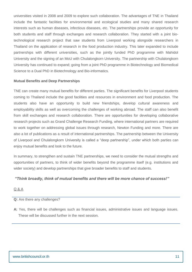universities visited in 2008 and 2009 to explore such collaboration. The advantages of TNE in Thailand include the fantastic facilities for environmental and ecological studies and many shared research interests such as human diseases, infectious diseases, etc. The partnerships provide an opportunity for both students and staff through exchanges and research collaboration. They started with a joint biotechnological research project that saw students from Liverpool working alongside researchers in Thailand on the application of research in the food production industry. This later expanded to include partnerships with different universities, such as the jointly funded PhD programme with Mahidol University and the signing of an MoU with Chulalongkorn University. The partnership with Chulalongkorn University has continued to expand; going from a joint PhD programme in Biotechnology and Biomedical Science to a Dual PhD in Biotechnology and Bio-informatics.

### **Mutual Benefits and Deep Partnerships**

TNE can create many mutual benefits for different parties. The significant benefits for Liverpool students coming to Thailand include the good facilities and resources in environment and food production. The students also have an opportunity to build new friendships, develop cultural awareness and employability skills as well as overcoming the challenges of working abroad. The staff can also benefit from skill exchanges and research collaboration. There are opportunities for developing collaborative research projects such as Grand Challenge Research Funding, where international partners are required to work together on addressing global issues through research, Newton Funding and more. There are also a lot of publications as a result of international partnerships. The partnership between the University of Liverpool and Chulalongkorn University is called a "deep partnership", under which both parties can enjoy mutual benefits and look to the future.

In summary, to strengthen and sustain TNE partnerships, we need to consider the mutual strengths and opportunities of partners, to think of wider benefits beyond the programme itself (e.g. institutions and wider society) and develop partnerships that give broader benefits to staff and students.

### *"Think broadly, think of mutual benefits and there will be more chance of success!"*

### Q & A

### **Q:** Are there any challenges?

**A:** Yes, there will be challenges such as financial issues, administrative issues and language issues. These will be discussed further in the next session.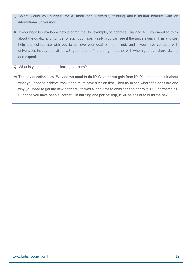- **Q:** What would you suggest for a small local university thinking about mutual benefits with an international university?
- **A:** If you want to develop a new programme, for example, to address Thailand 4.0, you need to think about the quality and number of staff you have. Firstly, you can see if the universities in Thailand can help and collaborate with you to achieve your goal or not. If not, and if you have contacts with universities in, say, the UK or US, you need to find the right partner with whom you can share visions and expertise.
- **Q:** What is your criteria for selecting partners?
- **A:** The key questions are "Why do we need to do it? What do we gain from it?" You need to think about what you need to achieve from it and must have a vision first. Then try to see where the gaps are and why you need to get the new partners. It takes a long time to consider and approve TNE partnerships. But once you have been successful in building one partnership, it will be easier to build the next.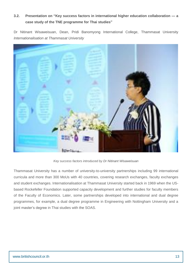# **3.2. Presentation on "Key success factors in international higher education collaboration — a case study of the TNE programme for Thai studies"**

Dr Nitinant Wisaweisuan, Dean, Pridi Banomyong International College, Thammasat University *Internationalisation at Thammasat University* 



*Key success factors introduced by Dr Nitinant Wisaweisuan*

Thammasat University has a number of university-to-university partnerships including 99 international curricula and more than 300 MoUs with 40 countries, covering research exchanges, faculty exchanges and student exchanges. Internationalisation at Thammasat University started back in 1969 when the USbased Rockefeller Foundation supported capacity development and further studies for faculty members of the Faculty of Economics. Later, some partnerships developed into international and dual degree programmes, for example, a dual degree programme in Engineering with Nottingham University and a joint master's degree in Thai studies with the SOAS.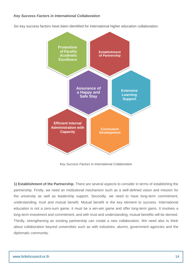### *Key Success Factors in International Collaboration*

Six key success factors have been identified for international higher education collaboration.



*Key Success Factors in International Collaboration*

**1) Establishment of the Partnership**. There are several aspects to consider in terms of establishing the partnership. Firstly, we need an institutional mechanism such as a well-defined vision and mission for the university as well as leadership support. Secondly, we need to have long-term commitment, understanding, trust and mutual benefit. Mutual benefit is the key element to success. International education is not a zero-sum game, it must be a win-win game and offer long-term gains. It involves a long-term investment and commitment, and with trust and understanding, mutual benefits will be derived. Thirdly, strengthening an existing partnership can create a new collaboration. We need also to think about collaboration beyond universities such as with industries, alumni, government agencies and the diplomatic community.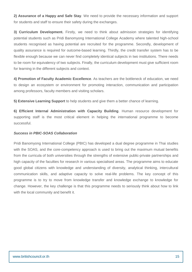**2) Assurance of a Happy and Safe Stay**. We need to provide the necessary information and support for students and staff to ensure their safety during the exchanges.

**3) Curriculum Development.** Firstly, we need to think about admission strategies for identifying potential students such as Pridi Banomyong International College Academy where talented high-school students recognised as having potential are recruited for the programme. Secondly, development of quality assurance is required for outcome-based learning. Thirdly, the credit transfer system has to be flexible enough because we can never find completely identical subjects in two institutions. There needs to be room for equivalency of two subjects. Finally, the curriculum development must give sufficient room for learning in the different subjects and context.

**4) Promotion of Faculty Academic Excellence**. As teachers are the bottleneck of education, we need to design an ecosystem or environment for promoting interaction, communication and participation among professors, faculty members and visiting scholars.

**5) Extensive Learning Support** to help students and give them a better chance of learning.

**6) Efficient Internal Administration with Capacity Building**. Human resource development for supporting staff is the most critical element in helping the international programme to become successful.

### *Success in PBIC-SOAS Collaboration*

Pridi Banomyong International College (PBIC) has developed a dual degree programme in Thai studies with the SOAS, and the core-competency approach is used to bring out the maximum mutual benefits from the curricula of both universities through the strengths of extensive public-private partnerships and high capacity of the faculties for research in various specialised areas. The programme aims to educate good global citizens with knowledge and understanding of diversity, analytical thinking, intercultural communication skills, and adaptive capacity to solve real-life problems. The key concept of this programme is to try to move from knowledge transfer and knowledge exchange to knowledge for change. However, the key challenge is that this programme needs to seriously think about how to link with the local community and benefit it.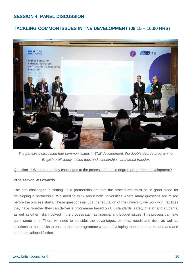# **SESSION 4: PANEL DISCUSSION**

# **TACKLING COMMON ISSUES IN TNE DEVELOPMENT (09.15 – 10.00 HRS)**



*The panellists discussed four common issues in TNE development: the double degree programme, English proficiency, tuition fees and scholarships, and credit transfer.*

### Question 1: What are the key challenges to the process of double degree programme development?

### **Prof. Steven W Edwards**

The first challenges in setting up a partnership are that the procedures must be in good stead for developing a partnership. We need to think about both universities where many questions are raised before the process starts. These questions include the reputation of the university we work with, facilities they have, whether they can deliver a programme based on UK standards, safety of staff and students, as well as other risks involved in the process such as financial and budget issues. This process can take quite some time. Then, we need to consider the advantages, benefits, needs and risks as well as solutions to those risks to ensure that the programme we are developing meets real market demand and can be developed further.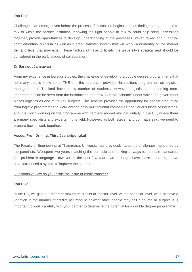### **Jon Pike**

Challenges can emerge even before the process of discussion begins such as finding the right people to talk to within the partner institution. Knowing the right people to talk to could help bring universities together, provide opportunities to develop understanding of the processes Steven talked about, finding complementary curricula as well as a credit transfer system that will work, and identifying the market demand level that may exist. These factors all have to fit into the university's strategy and should be considered in the early stages of collaboration.

### **Dr Sarawut Jansuwan**

From my experience in logistics studies, the challenge of developing a double degree programme is that not many people know about TNE and the courses it provides. In addition, programmes on logistics management in Thailand have a low number of students. However, logistics are becoming more important, as can be seen from the introduction of a new "S-curve scheme" under which the government places logistics as one of its key subjects. The scheme provides the opportunity for people graduating from logistic programmes to work abroad or in multinational companies and various kinds of industries, and it is worth working on the programme with partners abroad and particularly in the UK, where there are many specialists and experts in this field. However, as both Steven and Jon have said, we need to prepare how to work together.

### **Assoc. Prof. Dr –Ing. Thira Jearsiripongkul**

The Faculty of Engineering at Thammasat University has previously faced the challenges mentioned by the panellists. We spent two years matching the curricula and looking at ways to maintain standards. Our problem is language. However, in the past few years, we no longer have these problems, as we have introduced a system to improve the scheme.

### Questions 2: How do you tackle the issue of credit transfer?

### **Jon Pike**

In the UK, we give out different maximum credits at master level. At the bachelor level, we also have a variation in the number of credits per module or what other people may call a course or subject. It is important to work carefully with your partner to determine the potential for a double degree programme.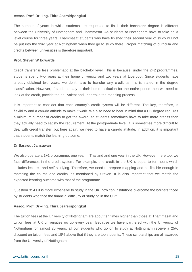### **Assoc. Prof. Dr –Ing. Thira Jearsiripongkul**

The number of years in which students are requested to finish their bachelor's degree is different between the University of Nottingham and Thammasat. As students at Nottingham have to take an A level course for three years, Thammasat students who have finished their second year of study will not be put into the third year at Nottingham when they go to study there. Proper matching of curricula and credits between universities is therefore important.

### **Prof. Steven W Edwards**

Credit transfer is less problematic at the bachelor level. This is because, under the 2+2 programmes, students spend two years at their home university and two years at Liverpool. Since students have already obtained two years, we don't have to transfer any credit as this is stated in the degree classification. However, if students stay at their home institution for the entire period then we need to look at the credit, provide the equivalent and undertake the mapping process.

It is important to consider that each country's credit system will be different. The key, therefore, is flexibility and a can-do attitude to make it work. We also need to bear in mind that a UK degree requires a minimum number of credits to get the award, so students sometimes have to take more credits than they actually need to satisfy the requirement. At the postgraduate level, it is sometimes more difficult to deal with credit transfer, but here again, we need to have a can-do attitude. In addition, it is important that students match the learning outcome.

### **Dr Sarawut Jansuwan**

We also operate a 1+1 programme; one year in Thailand and one year in the UK. However, here too, we face differences in the credit system. For example, one credit in the UK is equal to ten hours which includes lectures and self-studying. Therefore, we need to prepare mapping and be flexible enough in matching the course and credits, as mentioned by Steven. It is also important that we match the expected learning outcome with that of the programme.

# Question 3: As it is more expensive to study in the UK, how can institutions overcome the barriers faced by students who face the financial difficulty of studying in the UK?

### **Assoc. Prof. Dr –Ing. Thira Jearsiripongkul**

The tuition fees at the University of Nottingham are about ten times higher than those at Thammasat and tuition fees at UK universities go up every year. Because we have partnered with the University of Nottingham for almost 20 years, all our students who go on to study at Nottingham receive a 25% discount on tuition fees and 15% above that if they are top students. These scholarships are all awarded from the University of Nottingham.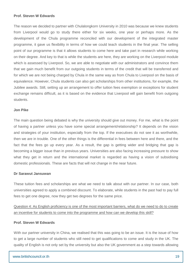### **Prof. Steven W Edwards**

The reason we decided to partner with Chulalongkorn University in 2010 was because we knew students from Liverpool would go to study there either for six weeks, one year or perhaps more. As the development of the Chula programme reconciled with our development of the integrated master programme, it gave us flexibility in terms of how we could teach students in the final year. The selling point of our programme is that it allows students to come here and take part in research while working on their degree. And key to that is while the students are here, they are working on the Liverpool module which is assessed by Liverpool. So, we are able to negotiate with our administrators and convince them that we gain much benefit from our outgoing students in terms of the credit that will be transferred and for which we are not being charged by Chula in the same way as from Chula to Liverpool on the basis of equivalence. However, Chula students can also get scholarships from other institutions, for example, the Jubilee awards. Still, setting up an arrangement to offer tuition fees exemption or exceptions for student exchange remains difficult, as it is based on the evidence that Liverpool will gain benefit from outgoing students.

### **Jon Pike**

The main question being debated is why the university should give out money. For me, what is the point of having a partner unless you have some special arrangement/relationship? It depends on the vision and strategies of your institution, especially from the top. If the executives do not see it as worthwhile, then we are in trouble. One of the other things is the differential in fees between here and there, and the fact that the fees go up every year. As a result, the gap is getting wider and bridging that gap is becoming a bigger issue than in previous years. Universities are also facing increasing pressure to show what they get in return and the international market is regarded as having a vision of subsidising domestic professionals. These are facts that will not change in the near future.

### **Dr Sarawut Jansuwan**

These tuition fees and scholarships are what we need to talk about with our partner. In our case, both universities agreed to apply a combined discount. To elaborate, while students in the past had to pay full fees to get one degree, now they get two degrees for the same price.

# Question 4: As English proficiency is one of the most important barriers, what do we need to do to create an incentive for students to come into the programme and how can we develop this skill?

### **Prof. Steven W Edwards**

With our partner university in China, we realised that this was going to be an issue. It is the issue of how to get a large number of students who still need to get qualifications to come and study in the UK. The quality of English is not only set by the university but also the UK government as a step towards allowing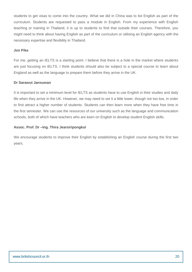students to get visas to come into the country. What we did in China was to list English as part of the curriculum. Students are requested to pass a module in English. From my experience with English teaching or training in Thailand, it is up to students to find that outside their courses. Therefore, you might need to think about having English as part of the curriculum or utilising an English agency with the necessary expertise and flexibility in Thailand.

### **Jon Pike**

For me, getting an IELTS is a starting point. I believe that there is a hole in the market where students are just focusing on IELTS. I think students should also be subject to a special course to learn about England as well as the language to prepare them before they arrive in the UK.

### **Dr Sarawut Jansuwan**

It is important to set a minimum level for IELTS as students have to use English in their studies and daily life when they arrive in the UK. However, we may need to set it a little lower, though not too low, in order to first attract a higher number of students. Students can then learn more when they have free time in the first semester. We can use the resources of our university such as the language and communication schools, both of which have teachers who are keen on English to develop student English skills.

### **Assoc. Prof. Dr –Ing. Thira Jearsiripongkul**

We encourage students to improve their English by establishing an English course during the first two years.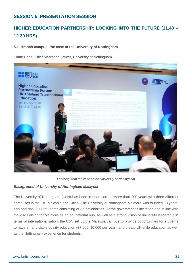# **SESSION 5: PRESENTATION SESSION**

# **HIGHER EDUCATION PARTNERSHIP: LOOKING INTO THE FUTURE (11.40 – 12.30 HRS)**

### **5.1. Branch campus: the case of the University of Nottingham**

Diane Chee, Chief Marketing Officer, University of Nottingham



*Learning from the case of the University of Nottingham*

### *Background of University of Nottingham Malaysia*

The University of Nottingham (UoN) has been in operation for more than 200 years with three different campuses in the UK, Malaysia and China. The University of Nottingham Malaysia was founded 18 years' ago and has 5,000 students consisting of 85 nationalities. At the government's invitation and in line with the 2020 Vision for Malaysia as an educational hub, as well as a strong vision of university leadership in terms of internationalisation, the UoN set up the Malaysia campus to provide opportunities for students to have an affordable quality education (£7,000–10,000 per year), and create UK style education as well as the Nottingham experience for students.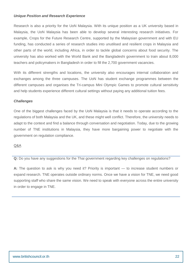### *Unique Position and Research Experience*

Research is also a priority for the UoN Malaysia. With its unique position as a UK university based in Malaysia, the UoN Malaysia has been able to develop several interesting research initiatives. For example, Crops for the Future Research Centre, supported by the Malaysian government and with EU funding, has conducted a series of research studies into unutilised and resilient crops in Malaysia and other parts of the world, including Africa, in order to tackle global concerns about food security. The university has also worked with the World Bank and the Bangladeshi government to train about 8,000 teachers and policymakers in Bangladesh in order to fill the 2,700 government vacancies.

With its different strengths and locations, the university also encourages internal collaboration and exchanges among the three campuses. The UoN has student exchange programmes between the different campuses and organises the Tri-campus Mini Olympic Games to promote cultural sensitivity and help students experience different cultural settings without paying any additional tuition fees.

### *Challenges*

One of the biggest challenges faced by the UoN Malaysia is that it needs to operate according to the regulations of both Malaysia and the UK, and these might well conflict. Therefore, the university needs to adapt to the context and find a balance through conversation and negotiation. Today, due to the growing number of TNE institutions in Malaysia, they have more bargaining power to negotiate with the government on regulation compliance.

### Q&A

**Q:** Do you have any suggestions for the Thai government regarding key challenges on regulations?

**A:** The question to ask is why you need it? Priority is important — to increase student numbers or expand research. TNE operates outside ordinary norms. Once we have a vision for TNE, we need good supporting staff who share the same vision. We need to speak with everyone across the entire university in order to engage in TNE.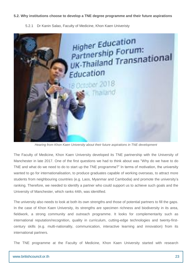### **5.2. Why institutions choose to develop a TNE degree programme and their future aspirations**

5.2.1 Dr Kanin Salao, Faculty of Medicine, Khon Kaen Univeristy



*Hearing from Khon Kaen University about their future aspirations in TNE development*

The Faculty of Medicine, Khon Kaen University developed its TNE partnership with the University of Manchester in late 2017. One of the first questions we had to think about was "Why do we have to do TNE and what do we need to do to start up the TNE programme?" In terms of motivation, the university wanted to go for internationalisation, to produce graduates capable of working overseas, to attract more students from neighbouring countries (e.g. Laos, Myanmar and Cambodia) and promote the university's ranking. Therefore, we needed to identify a partner who could support us to achieve such goals and the University of Manchester, which ranks 44th, was identified.

The university also needs to look at both its own strengths and those of potential partners to fill the gaps. In the case of Khon Kaen University, its strengths are specimen richness and biodiversity in its area, fieldwork, a strong community and outreach programme. It looks for complementarity such as international reputation/recognition, quality in curriculum, cutting-edge technologies and twenty-firstcentury skills (e.g. multi-nationality, communication, interactive learning and innovation) from its international partners.

The TNE programme at the Faculty of Medicine, Khon Kaen University started with research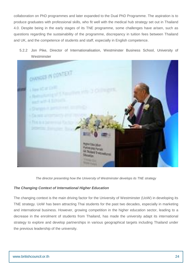collaboration on PhD programmes and later expanded to the Dual PhD Programme. The aspiration is to produce graduates with professional skills, who fit well with the medical hub strategy set out in Thailand 4.0. Despite being in the early stages of its TNE programme, some challenges have arisen, such as questions regarding the sustainability of the programme, discrepancy in tuition fees between Thailand and UK, and the competence of students and staff, especially in English competence.

5.2.2 Jon Pike, Director of Internationalisation, Westminster Business School, University of **Westminster** 



*The director presenting how the University of Westminster develops its TNE strategy*

### *The Changing Context of International Higher Education*

The changing context is the main driving factor for the University of Westminster (UoW) in developing its TNE strategy. UoW has been attracting Thai students for the past two decades, especially in marketing and international business. However, growing competition in the higher education sector, leading to a decrease in the enrolment of students from Thailand, has made the university adapt its international strategy to explore and develop partnerships in various geographical targets including Thailand under the previous leadership of the university.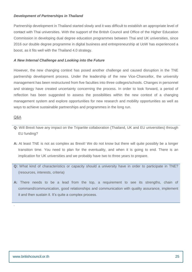### *Development of Partnerships in Thailand*

Partnership development in Thailand started slowly and it was difficult to establish an appropriate level of contact with Thai universities. With the support of the British Council and Office of the Higher Education Commission in developing dual degree education programmes between Thai and UK universities, since 2016 our double degree programme in digital business and entrepreneurship at UoW has experienced a boost, as it fits well with the Thailand 4.0 strategy.

### *A New Internal Challenge and Looking into the Future*

However, the new changing context has posed another challenge and caused disruption in the TNE partnership development process. Under the leadership of the new Vice-Chancellor, the university management has been restructured from five faculties into three colleges/schools. Changes in personnel and strategy have created uncertainty concerning the process. In order to look forward, a period of reflection has been suggested to assess the possibilities within the new context of a changing management system and explore opportunities for new research and mobility opportunities as well as ways to achieve sustainable partnerships and programmes in the long run.

### Q&A

.

- **Q:** Will Brexit have any impact on the Tripartite collaboration (Thailand, UK and EU universities) through EU funding?
- **A:** At least TNE is not as complex as Brexit! We do not know but there will quite possibly be a longer transition time. You need to plan for the eventuality, and when it is going to end. There is an implication for UK universities and we probably have two to three years to prepare.
- **Q:** What kind of characteristics or capacity should a university have in order to participate in TNE? (resources, interests, criteria)
- **A:** There needs to be a lead from the top, a requirement to see its strengths, chain of command/communication, good relationships and communication with quality assurance, implement it and then sustain it. It's quite a complex process.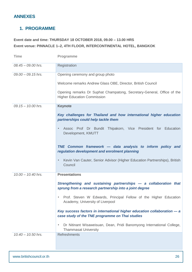# **ANNEXES**

# **1. PROGRAMME**

# **Event date and time: THURSDAY 18 OCTOBER 2018, 09.00 – 13.00 HRS Event venue: PINNACLE 1–2, 4TH FLOOR, INTERCONTINENTAL HOTEL, BANGKOK**

| <b>Time</b>          | <b>Programme</b>                                                                                                           |
|----------------------|----------------------------------------------------------------------------------------------------------------------------|
| 08.45 - 09.00 hrs.   | Registration                                                                                                               |
| $09.00 - 09.15$ hrs. | Opening ceremony and group photo                                                                                           |
|                      | Welcome remarks Andrew Glass OBE, Director, British Council                                                                |
|                      | Opening remarks Dr Suphat Champatong, Secretary-General, Office of the<br><b>Higher Education Commission</b>               |
| 09.15 - 10.00 hrs.   | <b>Keynote</b>                                                                                                             |
|                      | Key challenges for Thailand and how international higher education<br>partnerships could help tackle them                  |
|                      | Assoc Prof Dr Bundit Thipakorn, Vice President for Education<br>$\bullet$<br>Development, KMUTT                            |
|                      | TNE Common framework - data analysis to inform policy and<br>regulation development and enrolment planning                 |
|                      | Kevin Van Cauter, Senior Advisor (Higher Education Partnerships), British<br>$\bullet$<br>Council                          |
| 10.00 - 10.40 hrs.   | <b>Presentations</b>                                                                                                       |
|                      | Strengthening and sustaining partnerships - a collaboration that<br>sprung from a research partnership into a joint degree |
|                      | Prof. Steven W Edwards, Principal Fellow of the Higher Education<br>$\bullet$<br>Academy, University of Liverpool          |
|                      | Key success factors in international higher education collaboration - a<br>case study of the TNE programme on Thai studies |
|                      | Dr Nitinant Wisaweisuan, Dean, Pridi Banomyong International College,<br>٠<br><b>Thammasat University</b>                  |
| $10.40 - 10.50$ hrs. | <b>Refreshments</b>                                                                                                        |
|                      |                                                                                                                            |
|                      |                                                                                                                            |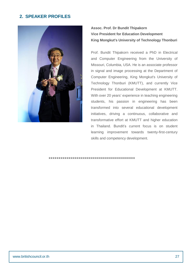# 2. SPEAKER PROFILES



# Assoc. Prof. Dr Bundit Thipakorn **Vice President for Education Development** King Mongkut's University of Technology Thonburi

Prof. Bundit Thipakorn received a PhD in Electrical and Computer Engineering from the University of Missouri, Columbia, USA. He is an associate professor in signal and image processing at the Department of Computer Engineering, King Mongkut's University of Technology Thonburi (KMUTT), and currently Vice President for Educational Development at KMUTT. With over 20 years' experience in teaching engineering students, his passion in engineering has been transformed into several educational development initiatives, driving a continuous, collaborative and transformative effort at KMUTT and higher education in Thailand. Bundit's current focus is on student learning improvement towards twenty-first-century skills and competency development.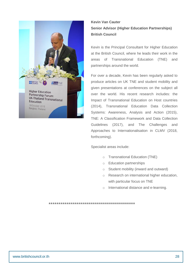

# **Kevin Van Cauter Senior Advisor (Higher Education Partnerships) British Council**

Kevin is the Principal Consultant for Higher Education at the British Council, where he leads their work in the areas of Transnational Education (TNE) and partnerships around the world.

For over a decade, Kevin has been regularly asked to produce articles on UK TNE and student mobility and given presentations at conferences on the subject all over the world. His recent research includes: the Impact of Transnational Education on Host countries (2014), Transnational Education Data Collection Systems: Awareness, Analysis and Action (2015), TNE: A Classification Framework and Data Collection Guidelines (2017), and The Challenges and Approaches to Internationalisation in CLMV (2018, forthcoming).

Specialist areas include:

- o Transnational Education (TNE)
- o Education partnerships
- o Student mobility (inward and outward)
- o Research on international higher education, with particular focus on TNE
- o International distance and e-learning.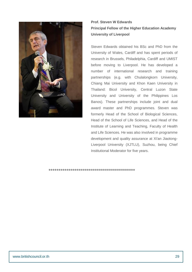

# **Prof. Steven W Edwards Principal Fellow of the Higher Education Academy University of Liverpool**

Steven Edwards obtained his BSc and PhD from the University of Wales, Cardiff and has spent periods of research in Brussels, Philadelphia, Cardiff and UMIST before moving to Liverpool. He has developed a number of international research and training partnerships (e.g. with Chulalongkorn University, Chiang Mai University and Khon Kaen University in Thailand: Bicol University, Central Luzon State University and University of the Philippines Los Banos). These partnerships include joint and dual award master and PhD programmes. Steven was formerly Head of the School of Biological Sciences, Head of the School of Life Sciences, and Head of the Institute of Learning and Teaching, Faculty of Health and Life Sciences. He was also involved in programme development and quality assurance at Xi'an Jiaotong-Liverpool University (XJTLU), Suzhou, being Chief Institutional Moderator for five years.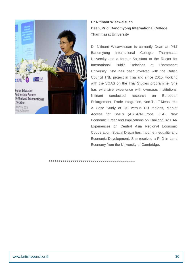

# Dr Nitinant Wisaweisuan Dean, Pridi Banomyong International College **Thammasat University**

Dr Nitinant Wisaweisuan is currently Dean at Pridi Banomyong International College, Thammasat University and a former Assistant to the Rector for Public International Relations at Thammasat University. She has been involved with the British Council TNE project in Thailand since 2015, working with the SOAS on the Thai Studies programme. She has extensive experience with overseas institutions. Nitinant conducted research  $\Omega$ European Enlargement, Trade Integration, Non-Tariff Measures: A Case Study of US versus EU regions, Market Access for SMEs (ASEAN-Europe FTA), New Economic Order and Implications on Thailand, ASEAN Experiences on Central Asia Regional Economic Cooperation, Spatial Disparities, Income Inequality and Economic Development. She received a PhD in Land Economy from the University of Cambridge.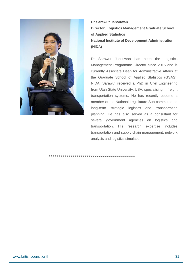

# Dr Sarawut Jansuwan **Director, Logistics Management Graduate School** of Applied Statistics **National Institute of Development Administration** (NIDA)

Dr Sarawut Jansuwan has been the Logistics Management Programme Director since 2015 and is currently Associate Dean for Administrative Affairs at the Graduate School of Applied Statistics (GSAS), NIDA. Sarawut received a PhD in Civil Engineering from Utah State University, USA, specialising in freight transportation systems. He has recently become a member of the National Legislature Sub-committee on long-term strategic logistics and transportation planning. He has also served as a consultant for several government agencies on logistics and transportation. His research expertise includes transportation and supply chain management, network analysis and logistics simulation.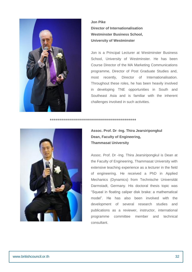

# **Jon Pike** Director of Internationalisation **Westminster Business School. University of Westminster**

Jon is a Principal Lecturer at Westminster Business School, University of Westminster. He has been Course Director of the MA Marketing Communications programme, Director of Post Graduate Studies and, most recently, Director of Internationalisation. Throughout these roles, he has been heavily involved in developing TNE opportunities in South and Southeast Asia and is familiar with the inherent challenges involved in such activities.



Assoc. Prof. Dr -Ing. Thira Jearsiripongkul Dean, Faculty of Engineering, **Thammasat University** 

Assoc. Prof. Dr -Ing. Thira Jearsiripongkul is Dean at the Faculty of Engineering, Thammasat University with extensive teaching experience as a lecturer in the field of engineering. He received a PhD in Applied Mechanics (Dynamics) from Technische Universität Darmstadt, Germany. His doctoral thesis topic was "Squeal in floating caliper disk brake: a mathematical model". He has also been involved with the development of several research studies and publications as a reviewer, instructor, international programme committee member and technical consultant.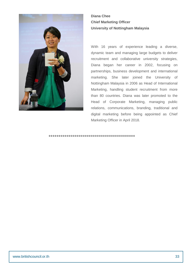

**Diana Chee Chief Marketing Officer University of Nottingham Malaysia** 

With 16 years of experience leading a diverse, dynamic team and managing large budgets to deliver recruitment and collaborative university strategies, Diana began her career in 2002, focusing on partnerships, business development and international marketing. She later joined the University of Nottingham Malaysia in 2006 as Head of International Marketing, handling student recruitment from more than 80 countries. Diana was later promoted to the Head of Corporate Marketing, managing public relations, communications, branding, traditional and digital marketing before being appointed as Chief Marketing Officer in April 2018.